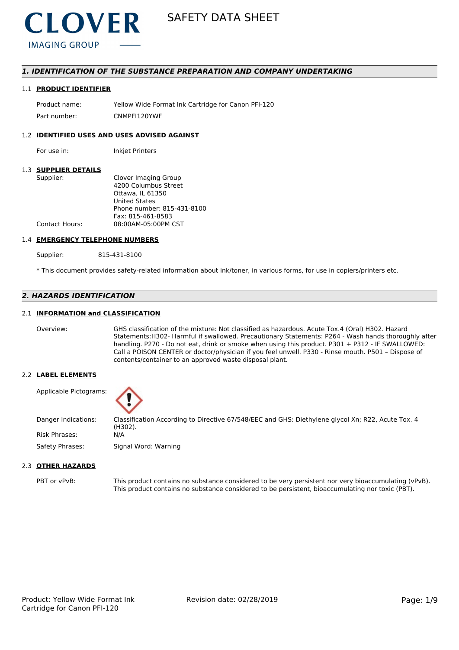

# *1. IDENTIFICATION OF THE SUBSTANCE PREPARATION AND COMPANY UNDERTAKING*

#### 1.1 **PRODUCT IDENTIFIER**

Product name: Yellow Wide Format Ink Cartridge for Canon PFI-120 Part number: CNMPFI120YWF

# 1.2 **IDENTIFIED USES AND USES ADVISED AGAINST**

For use in: Inkjet Printers

### 1.3 **SUPPLIER DETAILS**

| Supplier:             | Clover Imaging Group       |
|-----------------------|----------------------------|
|                       | 4200 Columbus Street       |
|                       | Ottawa. IL 61350           |
|                       | <b>United States</b>       |
|                       | Phone number: 815-431-8100 |
|                       | Fax: 815-461-8583          |
| <b>Contact Hours:</b> | 08:00AM-05:00PM CST        |
|                       |                            |

#### 1.4 **EMERGENCY TELEPHONE NUMBERS**

Supplier: 815-431-8100

\* This document provides safety-related information about ink/toner, in various forms, for use in copiers/printers etc.

# *2. HAZARDS IDENTIFICATION*

# 2.1 **INFORMATION and CLASSIFICATION**

Overview: GHS classification of the mixture: Not classified as hazardous. Acute Tox.4 (Oral) H302. Hazard Statements:H302- Harmful if swallowed. Precautionary Statements: P264 - Wash hands thoroughly after handling. P270 - Do not eat, drink or smoke when using this product. P301 + P312 - IF SWALLOWED: Call a POISON CENTER or doctor/physician if you feel unwell. P330 - Rinse mouth. P501 – Dispose of contents/container to an approved waste disposal plant.

### 2.2 **LABEL ELEMENTS**

Applicable Pictograms:



Danger Indications: Classification According to Directive 67/548/EEC and GHS: Diethylene glycol Xn; R22, Acute Tox. 4 (H302). Risk Phrases: N/A

Safety Phrases: Signal Word: Warning

# 2.3 **OTHER HAZARDS**

PBT or vPvB: This product contains no substance considered to be very persistent nor very bioaccumulating (vPvB). This product contains no substance considered to be persistent, bioaccumulating nor toxic (PBT).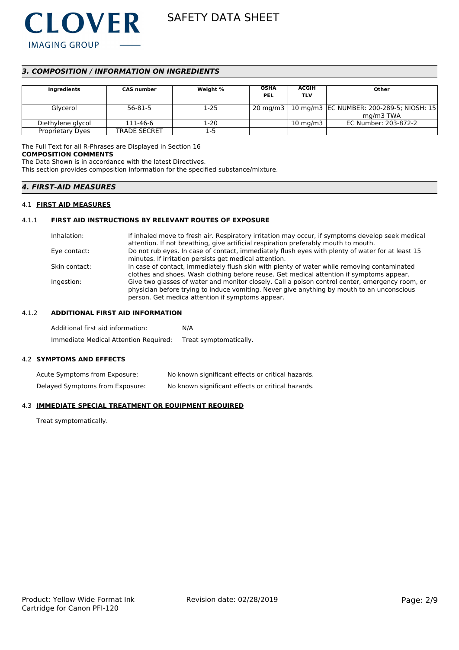

# *3. COMPOSITION / INFORMATION ON INGREDIENTS*

| Ingredients             | <b>CAS number</b>   | Weight % | <b>OSHA</b><br><b>PEL</b> | <b>ACGIH</b><br><b>TLV</b> | Other                                                 |
|-------------------------|---------------------|----------|---------------------------|----------------------------|-------------------------------------------------------|
| Glycerol                | 56-81-5             | $1 - 25$ |                           |                            | 20 mg/m3   10 mg/m3   EC NUMBER: 200-289-5; NIOSH: 15 |
|                         |                     |          |                           |                            | mg/m3 TWA                                             |
| Diethylene glycol       | 111-46-6            | 1-20     |                           | $10 \text{ mg/m}$          | EC Number: 203-872-2                                  |
| <b>Proprietary Dyes</b> | <b>TRADE SECRET</b> | 1-5      |                           |                            |                                                       |

The Full Text for all R-Phrases are Displayed in Section 16 **COMPOSITION COMMENTS**

The Data Shown is in accordance with the latest Directives.

This section provides composition information for the specified substance/mixture.

# *4. FIRST-AID MEASURES*

### 4.1 **FIRST AID MEASURES**

# 4.1.1 **FIRST AID INSTRUCTIONS BY RELEVANT ROUTES OF EXPOSURE**

| Inhalation:   | If inhaled move to fresh air. Respiratory irritation may occur, if symptoms develop seek medical<br>attention. If not breathing, give artificial respiration preferably mouth to mouth.                                                           |
|---------------|---------------------------------------------------------------------------------------------------------------------------------------------------------------------------------------------------------------------------------------------------|
| Eye contact:  | Do not rub eyes. In case of contact, immediately flush eyes with plenty of water for at least 15<br>minutes. If irritation persists get medical attention.                                                                                        |
| Skin contact: | In case of contact, immediately flush skin with plenty of water while removing contaminated<br>clothes and shoes. Wash clothing before reuse. Get medical attention if symptoms appear.                                                           |
| Ingestion:    | Give two glasses of water and monitor closely. Call a poison control center, emergency room, or<br>physician before trying to induce vomiting. Never give anything by mouth to an unconscious<br>person. Get medica attention if symptoms appear. |

# 4.1.2 **ADDITIONAL FIRST AID INFORMATION**

| Additional first aid information:     | N/A                    |
|---------------------------------------|------------------------|
| Immediate Medical Attention Required: | Treat symptomatically. |

# 4.2 **SYMPTOMS AND EFFECTS**

| Acute Symptoms from Exposure:   | No known significant effects or critical hazards. |
|---------------------------------|---------------------------------------------------|
| Delayed Symptoms from Exposure: | No known significant effects or critical hazards. |

### 4.3 **IMMEDIATE SPECIAL TREATMENT OR EQUIPMENT REQUIRED**

Treat symptomatically.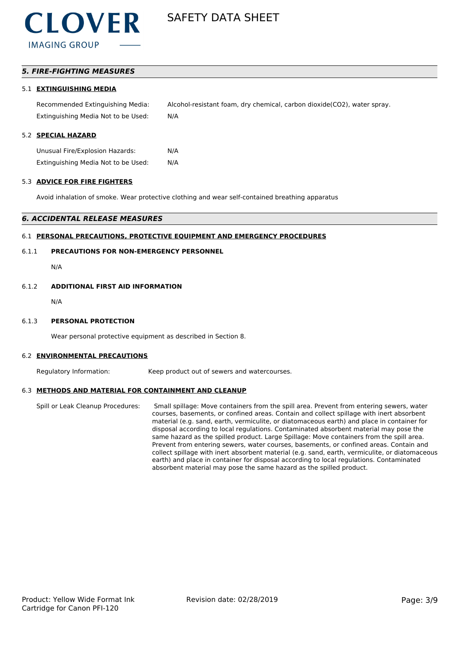# *5. FIRE-FIGHTING MEASURES*

### 5.1 **EXTINGUISHING MEDIA**

Recommended Extinguishing Media: Alcohol-resistant foam, dry chemical, carbon dioxide(CO2), water spray. Extinguishing Media Not to be Used: N/A

## 5.2 **SPECIAL HAZARD**

Unusual Fire/Explosion Hazards: N/A Extinguishing Media Not to be Used: N/A

### 5.3 **ADVICE FOR FIRE FIGHTERS**

Avoid inhalation of smoke. Wear protective clothing and wear self-contained breathing apparatus

### *6. ACCIDENTAL RELEASE MEASURES*

# 6.1 **PERSONAL PRECAUTIONS, PROTECTIVE EQUIPMENT AND EMERGENCY PROCEDURES**

# 6.1.1 **PRECAUTIONS FOR NON-EMERGENCY PERSONNEL**

N/A

# 6.1.2 **ADDITIONAL FIRST AID INFORMATION**

N/A

#### 6.1.3 **PERSONAL PROTECTION**

Wear personal protective equipment as described in Section 8.

#### 6.2 **ENVIRONMENTAL PRECAUTIONS**

Regulatory Information: Keep product out of sewers and watercourses.

# 6.3 **METHODS AND MATERIAL FOR CONTAINMENT AND CLEANUP**

Spill or Leak Cleanup Procedures: Small spillage: Move containers from the spill area. Prevent from entering sewers, water courses, basements, or confined areas. Contain and collect spillage with inert absorbent material (e.g. sand, earth, vermiculite, or diatomaceous earth) and place in container for disposal according to local regulations. Contaminated absorbent material may pose the same hazard as the spilled product. Large Spillage: Move containers from the spill area. Prevent from entering sewers, water courses, basements, or confined areas. Contain and collect spillage with inert absorbent material (e.g. sand, earth, vermiculite, or diatomaceous earth) and place in container for disposal according to local regulations. Contaminated absorbent material may pose the same hazard as the spilled product.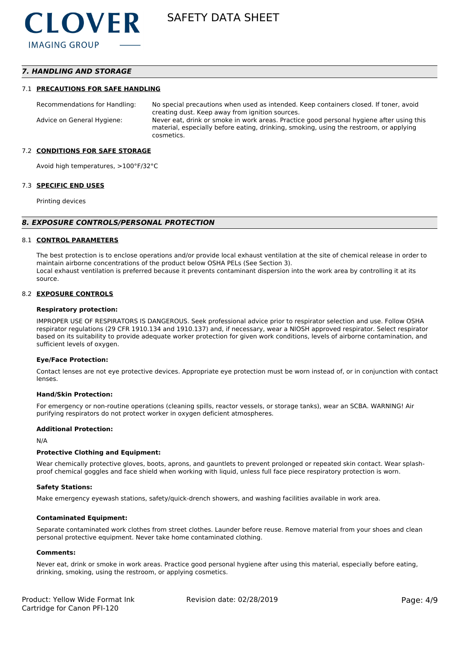# *7. HANDLING AND STORAGE*

#### 7.1 **PRECAUTIONS FOR SAFE HANDLING**

Recommendations for Handling: No special precautions when used as intended. Keep containers closed. If toner, avoid creating dust. Keep away from ignition sources. Advice on General Hygiene: Never eat, drink or smoke in work areas. Practice good personal hygiene after using this material, especially before eating, drinking, smoking, using the restroom, or applying cosmetics.

#### 7.2 **CONDITIONS FOR SAFE STORAGE**

Avoid high temperatures, >100°F/32°C

#### 7.3 **SPECIFIC END USES**

Printing devices

#### *8. EXPOSURE CONTROLS/PERSONAL PROTECTION*

#### 8.1 **CONTROL PARAMETERS**

The best protection is to enclose operations and/or provide local exhaust ventilation at the site of chemical release in order to maintain airborne concentrations of the product below OSHA PELs (See Section 3). Local exhaust ventilation is preferred because it prevents contaminant dispersion into the work area by controlling it at its source.

#### 8.2 **EXPOSURE CONTROLS**

#### **Respiratory protection:**

IMPROPER USE OF RESPIRATORS IS DANGEROUS. Seek professional advice prior to respirator selection and use. Follow OSHA respirator regulations (29 CFR 1910.134 and 1910.137) and, if necessary, wear a NIOSH approved respirator. Select respirator based on its suitability to provide adequate worker protection for given work conditions, levels of airborne contamination, and sufficient levels of oxygen.

#### **Eye/Face Protection:**

Contact lenses are not eye protective devices. Appropriate eye protection must be worn instead of, or in conjunction with contact lenses.

#### **Hand/Skin Protection:**

For emergency or non-routine operations (cleaning spills, reactor vessels, or storage tanks), wear an SCBA. WARNING! Air purifying respirators do not protect worker in oxygen deficient atmospheres.

#### **Additional Protection:**

N/A

#### **Protective Clothing and Equipment:**

Wear chemically protective gloves, boots, aprons, and gauntlets to prevent prolonged or repeated skin contact. Wear splashproof chemical goggles and face shield when working with liquid, unless full face piece respiratory protection is worn.

#### **Safety Stations:**

Make emergency eyewash stations, safety/quick-drench showers, and washing facilities available in work area.

#### **Contaminated Equipment:**

Separate contaminated work clothes from street clothes. Launder before reuse. Remove material from your shoes and clean personal protective equipment. Never take home contaminated clothing.

#### **Comments:**

Never eat, drink or smoke in work areas. Practice good personal hygiene after using this material, especially before eating, drinking, smoking, using the restroom, or applying cosmetics.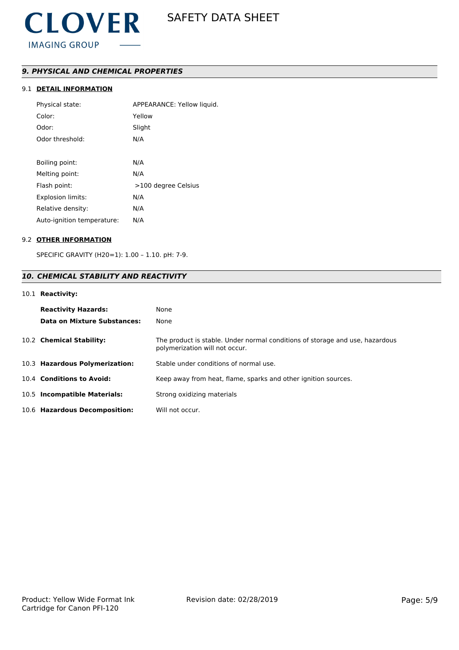# *9. PHYSICAL AND CHEMICAL PROPERTIES*

# 9.1 **DETAIL INFORMATION**

| Physical state:            | APPEARANCE: Yellow liquid. |
|----------------------------|----------------------------|
| Color:                     | Yellow                     |
| Odor:                      | Slight                     |
| Odor threshold:            | N/A                        |
|                            |                            |
| Boiling point:             | N/A                        |
| Melting point:             | N/A                        |
| Flash point:               | >100 degree Celsius        |
| <b>Explosion limits:</b>   | N/A                        |
| Relative density:          | N/A                        |
| Auto-ignition temperature: | N/A                        |
|                            |                            |

### 9.2 **OTHER INFORMATION**

SPECIFIC GRAVITY (H20=1): 1.00 – 1.10. pH: 7-9.

# *10. CHEMICAL STABILITY AND REACTIVITY*

# 10.1 **Reactivity:**

| <b>Reactivity Hazards:</b><br>Data on Mixture Substances: | None<br>None                                                                                                   |
|-----------------------------------------------------------|----------------------------------------------------------------------------------------------------------------|
| 10.2 Chemical Stability:                                  | The product is stable. Under normal conditions of storage and use, hazardous<br>polymerization will not occur. |
| 10.3 Hazardous Polymerization:                            | Stable under conditions of normal use.                                                                         |
| 10.4 Conditions to Avoid:                                 | Keep away from heat, flame, sparks and other ignition sources.                                                 |
| 10.5 Incompatible Materials:                              | Strong oxidizing materials                                                                                     |
| 10.6 Hazardous Decomposition:                             | Will not occur.                                                                                                |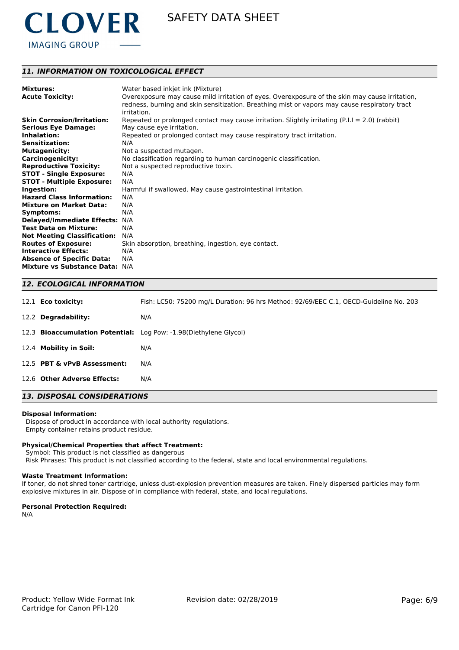

# *11. INFORMATION ON TOXICOLOGICAL EFFECT*

| <b>Mixtures:</b>                   | Water based inkjet ink (Mixture)                                                                                                                                                                               |
|------------------------------------|----------------------------------------------------------------------------------------------------------------------------------------------------------------------------------------------------------------|
| <b>Acute Toxicity:</b>             | Overexposure may cause mild irritation of eyes. Overexposure of the skin may cause irritation,<br>redness, burning and skin sensitization. Breathing mist or vapors may cause respiratory tract<br>irritation. |
| <b>Skin Corrosion/Irritation:</b>  | Repeated or prolonged contact may cause irritation. Slightly irritating $(P.I.I = 2.0)$ (rabbit)                                                                                                               |
| <b>Serious Eye Damage:</b>         | May cause eye irritation.                                                                                                                                                                                      |
| Inhalation:                        | Repeated or prolonged contact may cause respiratory tract irritation.                                                                                                                                          |
| <b>Sensitization:</b>              | N/A                                                                                                                                                                                                            |
| <b>Mutagenicity:</b>               | Not a suspected mutagen.                                                                                                                                                                                       |
| <b>Carcinogenicity:</b>            | No classification regarding to human carcinogenic classification.                                                                                                                                              |
| <b>Reproductive Toxicity:</b>      | Not a suspected reproductive toxin.                                                                                                                                                                            |
| <b>STOT - Single Exposure:</b>     | N/A                                                                                                                                                                                                            |
| <b>STOT - Multiple Exposure:</b>   | N/A                                                                                                                                                                                                            |
| Ingestion:                         | Harmful if swallowed. May cause gastrointestinal irritation.                                                                                                                                                   |
| <b>Hazard Class Information:</b>   | N/A                                                                                                                                                                                                            |
| <b>Mixture on Market Data:</b>     | N/A                                                                                                                                                                                                            |
| Symptoms:                          | N/A                                                                                                                                                                                                            |
| <b>Delayed/Immediate Effects:</b>  | N/A                                                                                                                                                                                                            |
| <b>Test Data on Mixture:</b>       | N/A                                                                                                                                                                                                            |
| <b>Not Meeting Classification:</b> | N/A                                                                                                                                                                                                            |
| <b>Routes of Exposure:</b>         | Skin absorption, breathing, ingestion, eye contact.                                                                                                                                                            |
| <b>Interactive Effects:</b>        | N/A                                                                                                                                                                                                            |
| <b>Absence of Specific Data:</b>   | N/A                                                                                                                                                                                                            |
| <b>Mixture vs Substance Data:</b>  | N/A                                                                                                                                                                                                            |

# *12. ECOLOGICAL INFORMATION*

| <b>13. DISPOSAL CONSIDERATIONS</b> |                             |                                                                                       |
|------------------------------------|-----------------------------|---------------------------------------------------------------------------------------|
|                                    | 12.6 Other Adverse Effects: | N/A                                                                                   |
|                                    | 12.5 PBT & vPvB Assessment: | N/A                                                                                   |
|                                    | 12.4 Mobility in Soil:      | N/A                                                                                   |
|                                    |                             | 12.3 Bioaccumulation Potential: Log Pow: -1.98(Diethylene Glycol)                     |
|                                    | 12.2 Degradability:         | N/A                                                                                   |
|                                    | 12.1 <b>Eco toxicity:</b>   | Fish: LC50: 75200 mg/L Duration: 96 hrs Method: 92/69/EEC C.1, OECD-Guideline No. 203 |

#### **Disposal Information:**

 Dispose of product in accordance with local authority regulations. Empty container retains product residue.

#### **Physical/Chemical Properties that affect Treatment:**

Symbol: This product is not classified as dangerous

Risk Phrases: This product is not classified according to the federal, state and local environmental regulations.

#### **Waste Treatment Information:**

If toner, do not shred toner cartridge, unless dust-explosion prevention measures are taken. Finely dispersed particles may form explosive mixtures in air. Dispose of in compliance with federal, state, and local regulations.

#### **Personal Protection Required:**

N/A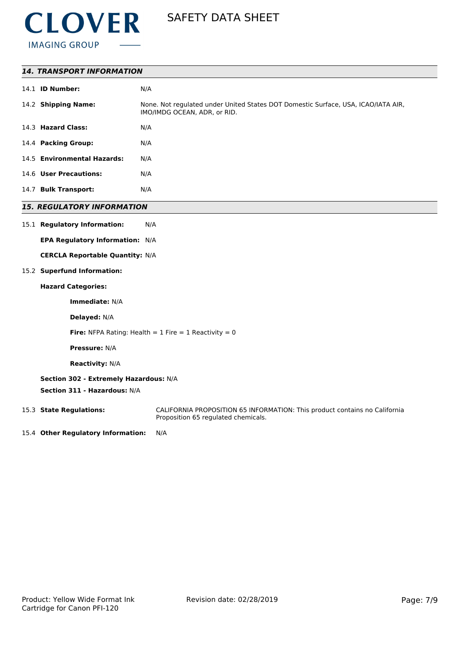

| N/A                                                                                                                                                                         |
|-----------------------------------------------------------------------------------------------------------------------------------------------------------------------------|
| None. Not regulated under United States DOT Domestic Surface, USA, ICAO/IATA AIR,<br>IMO/IMDG OCEAN, ADR, or RID.                                                           |
| N/A                                                                                                                                                                         |
| N/A                                                                                                                                                                         |
| N/A                                                                                                                                                                         |
| N/A                                                                                                                                                                         |
| N/A                                                                                                                                                                         |
| 14.1 <b>ID Number:</b><br>14.2 Shipping Name:<br>14.3 Hazard Class:<br>14.4 Packing Group:<br>14.5 Environmental Hazards:<br>14.6 User Precautions:<br>14.7 Bulk Transport: |

# *15. REGULATORY INFORMATION*

15.1 **Regulatory Information:** N/A

**EPA Regulatory Information:** N/A

**CERCLA Reportable Quantity:** N/A

# 15.2 **Superfund Information:**

# **Hazard Categories:**

**Immediate:** N/A

**Delayed:** N/A

**Fire:** NFPA Rating: Health  $= 1$  Fire  $= 1$  Reactivity  $= 0$ 

**Pressure:** N/A

**Reactivity:** N/A

# **Section 302 - Extremely Hazardous:** N/A

**Section 311 - Hazardous:** N/A

15.3 **State Regulations:** CALIFORNIA PROPOSITION 65 INFORMATION: This product contains no California Proposition 65 regulated chemicals.

15.4 **Other Regulatory Information:** N/A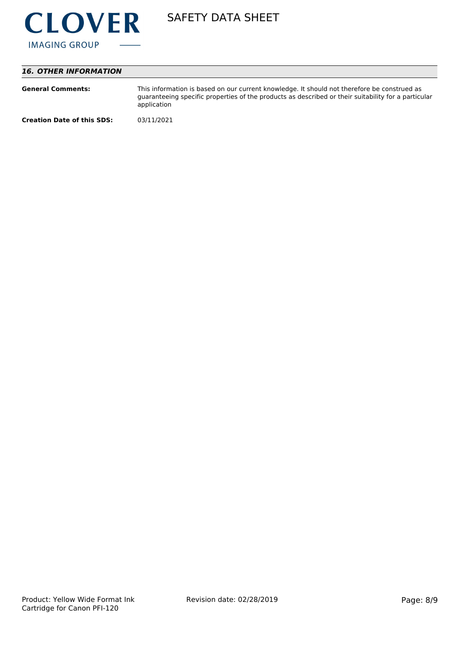

# *16. OTHER INFORMATION*

| <b>General Comments:</b>          | This information is based on our current knowledge. It should not therefore be construed as<br>guaranteeing specific properties of the products as described or their suitability for a particular<br>application |
|-----------------------------------|-------------------------------------------------------------------------------------------------------------------------------------------------------------------------------------------------------------------|
| <b>Creation Date of this SDS:</b> | 03/11/2021                                                                                                                                                                                                        |